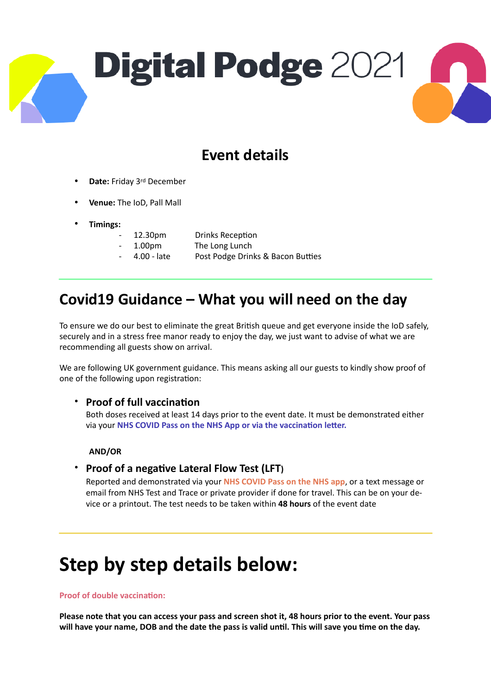**Digital Podge 2021** 

# **Event details**

- **Date:** Friday 3rd December
- **Venue:** The IoD, Pall Mall
- **Timings:**
- 12.30pm Drinks Reception
- 1.00pm The Long Lunch
- 4.00 late Post Podge Drinks & Bacon Butties

# **Covid19 Guidance – What you will need on the day**

To ensure we do our best to eliminate the great British queue and get everyone inside the IoD safely, securely and in a stress free manor ready to enjoy the day, we just want to advise of what we are recommending all guests show on arrival.

We are following UK government guidance. This means asking all our guests to kindly show proof of one of the following upon registration:

### • Proof of full vaccination

Both doses received at least 14 days prior to the event date. It must be demonstrated either via your **NHS COVID Pass on the NHS App or via the vaccination letter.** 

### **AND/OR**

## • Proof of a negative Lateral Flow Test (LFT)

Reported and demonstrated via your **NHS COVID Pass on the NHS app**, or a text message or email from NHS Test and Trace or private provider if done for travel. This can be on your device or a printout. The test needs to be taken within **48 hours** of the event date

# **Step by step details below:**

#### **Proof of double vaccination:**

**Please note that you can access your pass and screen shot it, 48 hours prior to the event. Your pass**  will have your name, DOB and the date the pass is valid until. This will save you time on the day.